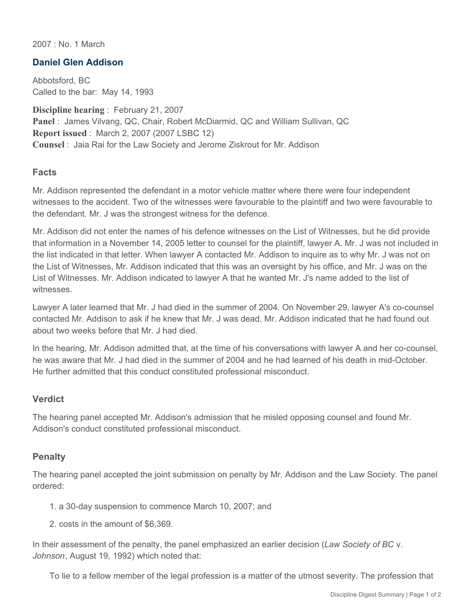2007 : No. 1 March

## **Daniel Glen Addison**

Abbotsford, BC Called to the bar: May 14, 1993

**Discipline hearing** : February 21, 2007 **Panel** : James Vilvang, QC, Chair, Robert McDiarmid, QC and William Sullivan, QC **Report issued** : March 2, 2007 (2007 LSBC 12) **Counsel** : Jaia Rai for the Law Society and Jerome Ziskrout for Mr. Addison

## **Facts**

Mr. Addison represented the defendant in a motor vehicle matter where there were four independent witnesses to the accident. Two of the witnesses were favourable to the plaintiff and two were favourable to the defendant. Mr. J was the strongest witness for the defence.

Mr. Addison did not enter the names of his defence witnesses on the List of Witnesses, but he did provide that information in a November 14, 2005 letter to counsel for the plaintiff, lawyer A. Mr. J was not included in the list indicated in that letter. When lawyer A contacted Mr. Addison to inquire as to why Mr. J was not on the List of Witnesses, Mr. Addison indicated that this was an oversight by his office, and Mr. J was on the List of Witnesses. Mr. Addison indicated to lawyer A that he wanted Mr. J's name added to the list of witnesses.

Lawyer A later learned that Mr. J had died in the summer of 2004. On November 29, lawyer A's co-counsel contacted Mr. Addison to ask if he knew that Mr. J was dead. Mr. Addison indicated that he had found out about two weeks before that Mr. J had died.

In the hearing, Mr. Addison admitted that, at the time of his conversations with lawyer A and her co-counsel, he was aware that Mr. J had died in the summer of 2004 and he had learned of his death in mid-October. He further admitted that this conduct constituted professional misconduct.

## **Verdict**

The hearing panel accepted Mr. Addison's admission that he misled opposing counsel and found Mr. Addison's conduct constituted professional misconduct.

## **Penalty**

The hearing panel accepted the joint submission on penalty by Mr. Addison and the Law Society. The panel ordered:

- 1. a 30-day suspension to commence March 10, 2007; and
- 2. costs in the amount of \$6,369.

In their assessment of the penalty, the panel emphasized an earlier decision (*Law Society of BC* v. *Johnson*, August 19, 1992) which noted that:

To lie to a fellow member of the legal profession is a matter of the utmost severity. The profession that